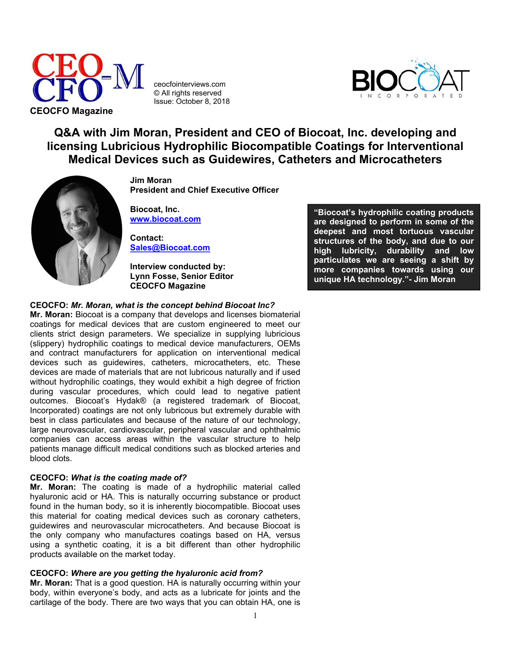

ceocfointerviews.com © All rights reserved Issue: October 8, 2018



# **Q&A with Jim Moran, President and CEO of Biocoat, Inc. developing and licensing Lubricious Hydrophilic Biocompatible Coatings for Interventional Medical Devices such as Guidewires, Catheters and Microcatheters**



**Jim Moran President and Chief Executive Officer**

**Biocoat, Inc. [www.biocoat.com](http://www.biocoat.com/)**

**Contact: [Sales@Biocoat.com](mailto:Sales@biocoat.com)**

**Interview conducted by: Lynn Fosse, Senior Editor CEOCFO Magazine**

## **CEOCFO:** *Mr. Moran, what is the concept behind Biocoat Inc?*

**Mr. Moran:** Biocoat is a company that develops and licenses biomaterial coatings for medical devices that are custom engineered to meet our clients strict design parameters. We specialize in supplying lubricious (slippery) hydrophilic coatings to medical device manufacturers, OEMs and contract manufacturers for application on interventional medical devices such as guidewires, catheters, microcatheters, etc. These devices are made of materials that are not lubricous naturally and if used without hydrophilic coatings, they would exhibit a high degree of friction during vascular procedures, which could lead to negative patient outcomes. Biocoat's Hydak® (a registered trademark of Biocoat, Incorporated) coatings are not only lubricous but extremely durable with best in class particulates and because of the nature of our technology, large neurovascular, cardiovascular, peripheral vascular and ophthalmic companies can access areas within the vascular structure to help patients manage difficult medical conditions such as blocked arteries and blood clots.

## **CEOCFO:** *What is the coating made of?*

**Mr. Moran:** The coating is made of a hydrophilic material called hyaluronic acid or HA. This is naturally occurring substance or product found in the human body, so it is inherently biocompatible. Biocoat uses this material for coating medical devices such as coronary catheters, guidewires and neurovascular microcatheters. And because Biocoat is the only company who manufactures coatings based on HA, versus using a synthetic coating, it is a bit different than other hydrophilic products available on the market today.

# **CEOCFO:** *Where are you getting the hyaluronic acid from?*

**Mr. Moran:** That is a good question. HA is naturally occurring within your body, within everyone's body, and acts as a lubricate for joints and the cartilage of the body. There are two ways that you can obtain HA, one is

**"Biocoat's hydrophilic coating products are designed to perform in some of the deepest and most tortuous vascular structures of the body, and due to our high lubricity, durability and low particulates we are seeing a shift by more companies towards using our unique HA technology."- Jim Moran**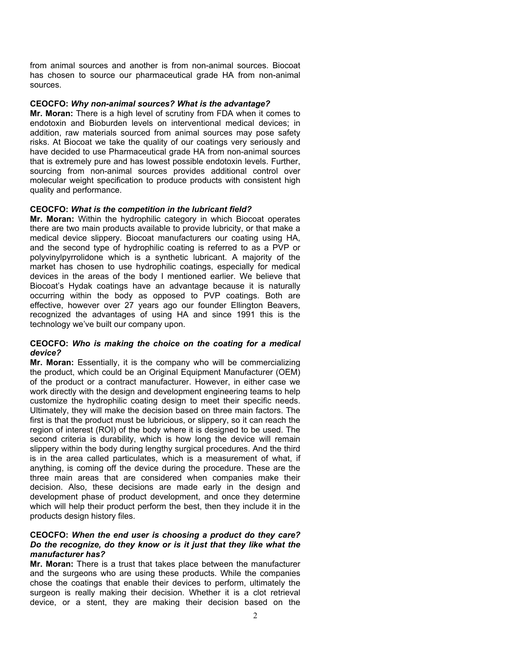from animal sources and another is from non-animal sources. Biocoat has chosen to source our pharmaceutical grade HA from non-animal sources.

#### **CEOCFO:** *Why non-animal sources? What is the advantage?*

**Mr. Moran:** There is a high level of scrutiny from FDA when it comes to endotoxin and Bioburden levels on interventional medical devices; in addition, raw materials sourced from animal sources may pose safety risks. At Biocoat we take the quality of our coatings very seriously and have decided to use Pharmaceutical grade HA from non-animal sources that is extremely pure and has lowest possible endotoxin levels. Further, sourcing from non-animal sources provides additional control over molecular weight specification to produce products with consistent high quality and performance.

#### **CEOCFO:** *What is the competition in the lubricant field?*

**Mr. Moran:** Within the hydrophilic category in which Biocoat operates there are two main products available to provide lubricity, or that make a medical device slippery. Biocoat manufacturers our coating using HA, and the second type of hydrophilic coating is referred to as a PVP or polyvinylpyrrolidone which is a synthetic lubricant. A majority of the market has chosen to use hydrophilic coatings, especially for medical devices in the areas of the body I mentioned earlier. We believe that Biocoat's Hydak coatings have an advantage because it is naturally occurring within the body as opposed to PVP coatings. Both are effective, however over 27 years ago our founder Ellington Beavers, recognized the advantages of using HA and since 1991 this is the technology we've built our company upon.

# **CEOCFO:** *Who is making the choice on the coating for a medical device?*

**Mr. Moran:** Essentially, it is the company who will be commercializing the product, which could be an Original Equipment Manufacturer (OEM) of the product or a contract manufacturer. However, in either case we work directly with the design and development engineering teams to help customize the hydrophilic coating design to meet their specific needs. Ultimately, they will make the decision based on three main factors. The first is that the product must be lubricious, or slippery, so it can reach the region of interest (ROI) of the body where it is designed to be used. The second criteria is durability, which is how long the device will remain slippery within the body during lengthy surgical procedures. And the third is in the area called particulates, which is a measurement of what, if anything, is coming off the device during the procedure. These are the three main areas that are considered when companies make their decision. Also, these decisions are made early in the design and development phase of product development, and once they determine which will help their product perform the best, then they include it in the products design history files.

#### **CEOCFO:** *When the end user is choosing a product do they care? Do the recognize, do they know or is it just that they like what the manufacturer has?*

**Mr. Moran:** There is a trust that takes place between the manufacturer and the surgeons who are using these products. While the companies chose the coatings that enable their devices to perform, ultimately the surgeon is really making their decision. Whether it is a clot retrieval device, or a stent, they are making their decision based on the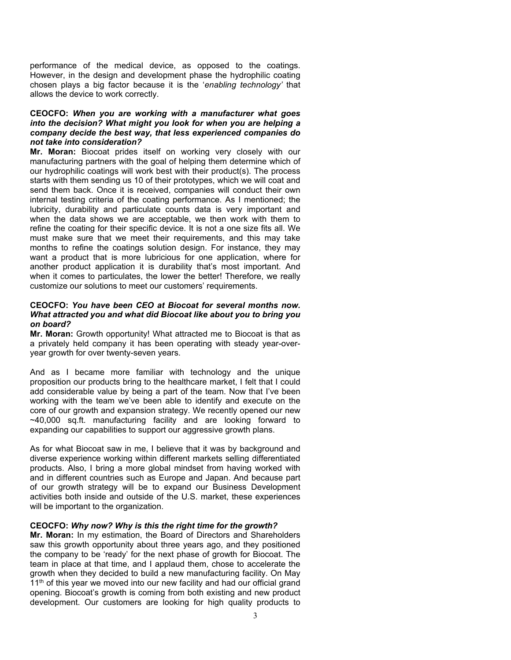performance of the medical device, as opposed to the coatings. However, in the design and development phase the hydrophilic coating chosen plays a big factor because it is the '*enabling technology'* that allows the device to work correctly.

# **CEOCFO:** *When you are working with a manufacturer what goes into the decision? What might you look for when you are helping a company decide the best way, that less experienced companies do not take into consideration?*

**Mr. Moran:** Biocoat prides itself on working very closely with our manufacturing partners with the goal of helping them determine which of our hydrophilic coatings will work best with their product(s). The process starts with them sending us 10 of their prototypes, which we will coat and send them back. Once it is received, companies will conduct their own internal testing criteria of the coating performance. As I mentioned; the lubricity, durability and particulate counts data is very important and when the data shows we are acceptable, we then work with them to refine the coating for their specific device. It is not a one size fits all. We must make sure that we meet their requirements, and this may take months to refine the coatings solution design. For instance, they may want a product that is more lubricious for one application, where for another product application it is durability that's most important. And when it comes to particulates, the lower the better! Therefore, we really customize our solutions to meet our customers' requirements.

# **CEOCFO:** *You have been CEO at Biocoat for several months now. What attracted you and what did Biocoat like about you to bring you on board?*

**Mr. Moran:** Growth opportunity! What attracted me to Biocoat is that as a privately held company it has been operating with steady year-overyear growth for over twenty-seven years.

And as I became more familiar with technology and the unique proposition our products bring to the healthcare market, I felt that I could add considerable value by being a part of the team. Now that I've been working with the team we've been able to identify and execute on the core of our growth and expansion strategy. We recently opened our new ~40,000 sq.ft. manufacturing facility and are looking forward to expanding our capabilities to support our aggressive growth plans.

As for what Biocoat saw in me, I believe that it was by background and diverse experience working within different markets selling differentiated products. Also, I bring a more global mindset from having worked with and in different countries such as Europe and Japan. And because part of our growth strategy will be to expand our Business Development activities both inside and outside of the U.S. market, these experiences will be important to the organization.

#### **CEOCFO:** *Why now? Why is this the right time for the growth?*

**Mr. Moran:** In my estimation, the Board of Directors and Shareholders saw this growth opportunity about three years ago, and they positioned the company to be 'ready' for the next phase of growth for Biocoat. The team in place at that time, and I applaud them, chose to accelerate the growth when they decided to build a new manufacturing facility. On May  $11<sup>th</sup>$  of this year we moved into our new facility and had our official grand opening. Biocoat's growth is coming from both existing and new product development. Our customers are looking for high quality products to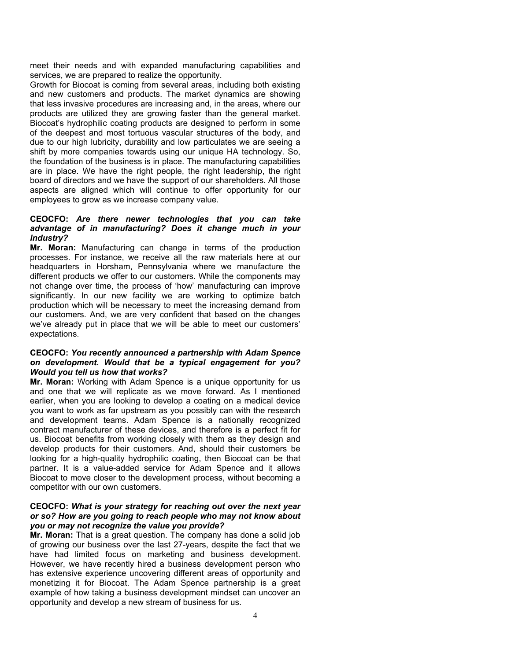meet their needs and with expanded manufacturing capabilities and services, we are prepared to realize the opportunity.

Growth for Biocoat is coming from several areas, including both existing and new customers and products. The market dynamics are showing that less invasive procedures are increasing and, in the areas, where our products are utilized they are growing faster than the general market. Biocoat's hydrophilic coating products are designed to perform in some of the deepest and most tortuous vascular structures of the body, and due to our high lubricity, durability and low particulates we are seeing a shift by more companies towards using our unique HA technology. So, the foundation of the business is in place. The manufacturing capabilities are in place. We have the right people, the right leadership, the right board of directors and we have the support of our shareholders. All those aspects are aligned which will continue to offer opportunity for our employees to grow as we increase company value.

#### **CEOCFO:** *Are there newer technologies that you can take advantage of in manufacturing? Does it change much in your industry?*

**Mr. Moran:** Manufacturing can change in terms of the production processes. For instance, we receive all the raw materials here at our headquarters in Horsham, Pennsylvania where we manufacture the different products we offer to our customers. While the components may not change over time, the process of 'how' manufacturing can improve significantly. In our new facility we are working to optimize batch production which will be necessary to meet the increasing demand from our customers. And, we are very confident that based on the changes we've already put in place that we will be able to meet our customers' expectations.

# **CEOCFO:** *You recently announced a partnership with Adam Spence on development. Would that be a typical engagement for you? Would you tell us how that works?*

**Mr. Moran:** Working with Adam Spence is a unique opportunity for us and one that we will replicate as we move forward. As I mentioned earlier, when you are looking to develop a coating on a medical device you want to work as far upstream as you possibly can with the research and development teams. Adam Spence is a nationally recognized contract manufacturer of these devices, and therefore is a perfect fit for us. Biocoat benefits from working closely with them as they design and develop products for their customers. And, should their customers be looking for a high-quality hydrophilic coating, then Biocoat can be that partner. It is a value-added service for Adam Spence and it allows Biocoat to move closer to the development process, without becoming a competitor with our own customers.

## **CEOCFO:** *What is your strategy for reaching out over the next year or so? How are you going to reach people who may not know about you or may not recognize the value you provide?*

**Mr. Moran:** That is a great question. The company has done a solid job of growing our business over the last 27-years, despite the fact that we have had limited focus on marketing and business development. However, we have recently hired a business development person who has extensive experience uncovering different areas of opportunity and monetizing it for Biocoat. The Adam Spence partnership is a great example of how taking a business development mindset can uncover an opportunity and develop a new stream of business for us.